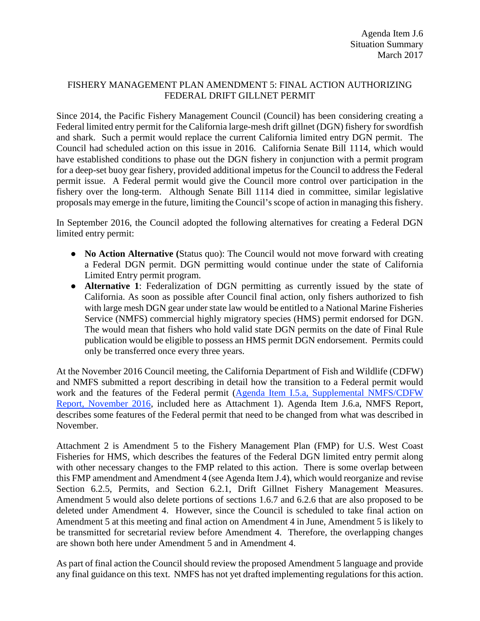# FISHERY MANAGEMENT PLAN AMENDMENT 5: FINAL ACTION AUTHORIZING FEDERAL DRIFT GILLNET PERMIT

Since 2014, the Pacific Fishery Management Council (Council) has been considering creating a Federal limited entry permit for the California large-mesh drift gillnet (DGN) fishery for swordfish and shark. Such a permit would replace the current California limited entry DGN permit. The Council had scheduled action on this issue in 2016. California Senate Bill 1114, which would have established conditions to phase out the DGN fishery in conjunction with a permit program for a deep-set buoy gear fishery, provided additional impetus for the Council to address the Federal permit issue. A Federal permit would give the Council more control over participation in the fishery over the long-term. Although Senate Bill 1114 died in committee, similar legislative proposals may emerge in the future, limiting the Council's scope of action in managing this fishery.

In September 2016, the Council adopted the following alternatives for creating a Federal DGN limited entry permit:

- **No Action Alternative** (Status quo): The Council would not move forward with creating a Federal DGN permit. DGN permitting would continue under the state of California Limited Entry permit program.
- **Alternative 1**: Federalization of DGN permitting as currently issued by the state of California. As soon as possible after Council final action, only fishers authorized to fish with large mesh DGN gear under state law would be entitled to a National Marine Fisheries Service (NMFS) commercial highly migratory species (HMS) permit endorsed for DGN. The would mean that fishers who hold valid state DGN permits on the date of Final Rule publication would be eligible to possess an HMS permit DGN endorsement. Permits could only be transferred once every three years.

At the November 2016 Council meeting, the California Department of Fish and Wildlife (CDFW) and NMFS submitted a report describing in detail how the transition to a Federal permit would work and the features of the Federal permit [\(Agenda Item I.5.a, Supplemental NMFS/CDFW](http://www.pcouncil.org/wp-content/uploads/2016/11/I5a_Sup_NMFS-CDFW_Rpt_DGN_PermitSystem_NOV2016BB.pdf)  [Report, November 2016,](http://www.pcouncil.org/wp-content/uploads/2016/11/I5a_Sup_NMFS-CDFW_Rpt_DGN_PermitSystem_NOV2016BB.pdf) included here as Attachment 1). Agenda Item J.6.a, NMFS Report, describes some features of the Federal permit that need to be changed from what was described in November.

Attachment 2 is Amendment 5 to the Fishery Management Plan (FMP) for U.S. West Coast Fisheries for HMS, which describes the features of the Federal DGN limited entry permit along with other necessary changes to the FMP related to this action. There is some overlap between this FMP amendment and Amendment 4 (see Agenda Item J.4), which would reorganize and revise Section 6.2.5, Permits, and Section 6.2.1, Drift Gillnet Fishery Management Measures. Amendment 5 would also delete portions of sections 1.6.7 and 6.2.6 that are also proposed to be deleted under Amendment 4. However, since the Council is scheduled to take final action on Amendment 5 at this meeting and final action on Amendment 4 in June, Amendment 5 is likely to be transmitted for secretarial review before Amendment 4. Therefore, the overlapping changes are shown both here under Amendment 5 and in Amendment 4.

As part of final action the Council should review the proposed Amendment 5 language and provide any final guidance on this text. NMFS has not yet drafted implementing regulations for this action.